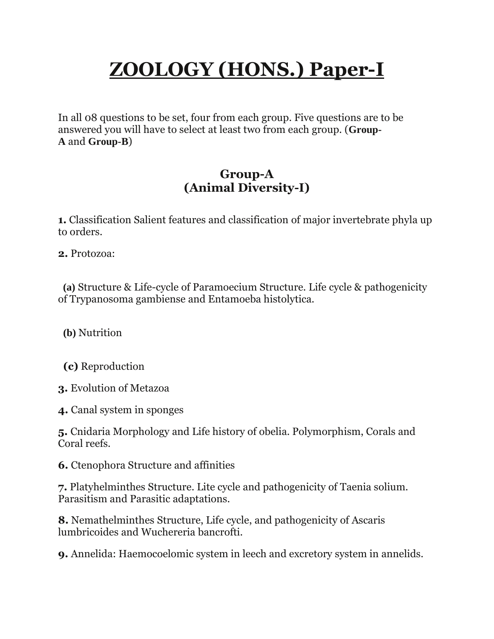# **ZOOLOGY (HONS.) Paper-I**

In all 08 questions to be set, four from each group. Five questions are to be answered you will have to select at least two from each group. (**Group-A** and **Group-B**)

#### **Group-A (Animal Diversity-I)**

**1.** Classification Salient features and classification of major invertebrate phyla up to orders.

**2.** Protozoa:

 **(a)** Structure & Life-cycle of Paramoecium Structure. Life cycle & pathogenicity of Trypanosoma gambiense and Entamoeba histolytica.

**(b)** Nutrition

**(c)** Reproduction

**3.** Evolution of Metazoa

**4.** Canal system in sponges

**5.** Cnidaria Morphology and Life history of obelia. Polymorphism, Corals and Coral reefs.

**6.** Ctenophora Structure and affinities

**7.** Platyhelminthes Structure. Lite cycle and pathogenicity of Taenia solium. Parasitism and Parasitic adaptations.

**8.** Nemathelminthes Structure, Life cycle, and pathogenicity of Ascaris lumbricoides and Wuchereria bancrofti.

**9.** Annelida: Haemocoelomic system in leech and excretory system in annelids.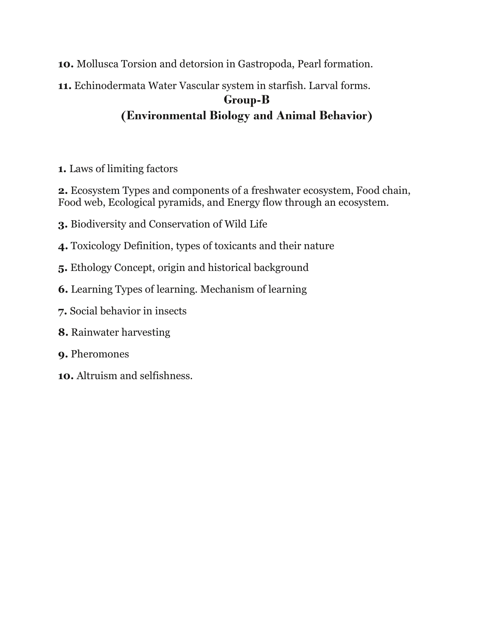- **10.** Mollusca Torsion and detorsion in Gastropoda, Pearl formation.
- **11.** Echinodermata Water Vascular system in starfish. Larval forms.

#### **Group-B (Environmental Biology and Animal Behavior)**

**1.** Laws of limiting factors

**2.** Ecosystem Types and components of a freshwater ecosystem, Food chain, Food web, Ecological pyramids, and Energy flow through an ecosystem.

- **3.** Biodiversity and Conservation of Wild Life
- **4.** Toxicology Definition, types of toxicants and their nature
- **5.** Ethology Concept, origin and historical background
- **6.** Learning Types of learning. Mechanism of learning
- **7.** Social behavior in insects
- **8.** Rainwater harvesting
- **9.** Pheromones
- **10.** Altruism and selfishness.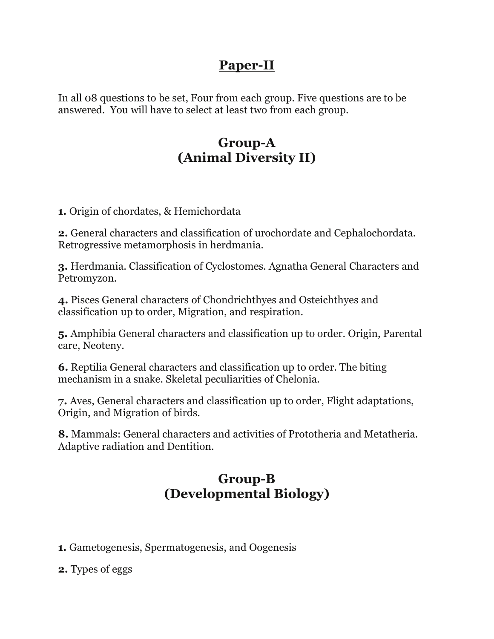## **Paper-II**

In all 08 questions to be set, Four from each group. Five questions are to be answered. You will have to select at least two from each group.

# **Group-A (Animal Diversity II)**

**1.** Origin of chordates, & Hemichordata

**2.** General characters and classification of urochordate and Cephalochordata. Retrogressive metamorphosis in herdmania.

**3.** Herdmania. Classification of Cyclostomes. Agnatha General Characters and Petromyzon.

**4.** Pisces General characters of Chondrichthyes and Osteichthyes and classification up to order, Migration, and respiration.

**5.** Amphibia General characters and classification up to order. Origin, Parental care, Neoteny.

**6.** Reptilia General characters and classification up to order. The biting mechanism in a snake. Skeletal peculiarities of Chelonia.

**7.** Aves, General characters and classification up to order, Flight adaptations, Origin, and Migration of birds.

**8.** Mammals: General characters and activities of Prototheria and Metatheria. Adaptive radiation and Dentition.

### **Group-B (Developmental Biology)**

- **1.** Gametogenesis, Spermatogenesis, and Oogenesis
- **2.** Types of eggs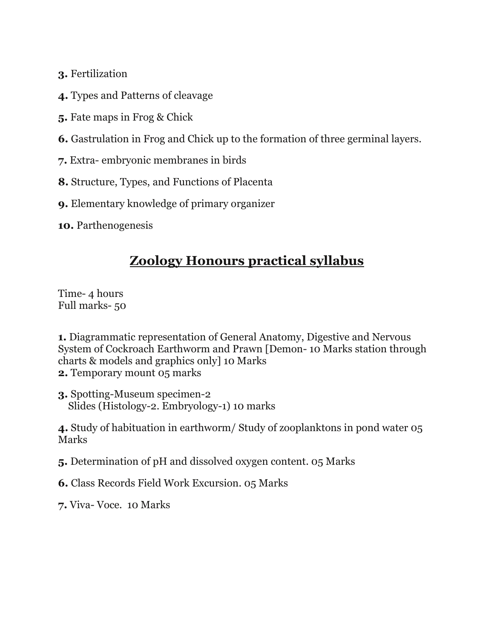- **3.** Fertilization
- **4.** Types and Patterns of cleavage
- **5.** Fate maps in Frog & Chick
- **6.** Gastrulation in Frog and Chick up to the formation of three germinal layers.
- **7.** Extra- embryonic membranes in birds
- **8.** Structure, Types, and Functions of Placenta
- **9.** Elementary knowledge of primary organizer
- **10.** Parthenogenesis

#### **Zoology Honours practical syllabus**

Time- 4 hours Full marks- 50

**1.** Diagrammatic representation of General Anatomy, Digestive and Nervous System of Cockroach Earthworm and Prawn [Demon- 10 Marks station through charts & models and graphics only] 10 Marks **2.** Temporary mount 05 marks

**3.** Spotting-Museum specimen-2 Slides (Histology-2. Embryology-1) 10 marks

**4.** Study of habituation in earthworm/ Study of zooplanktons in pond water 05 Marks

**5.** Determination of pH and dissolved oxygen content. 05 Marks

**6.** Class Records Field Work Excursion. 05 Marks

**7.** Viva- Voce. 10 Marks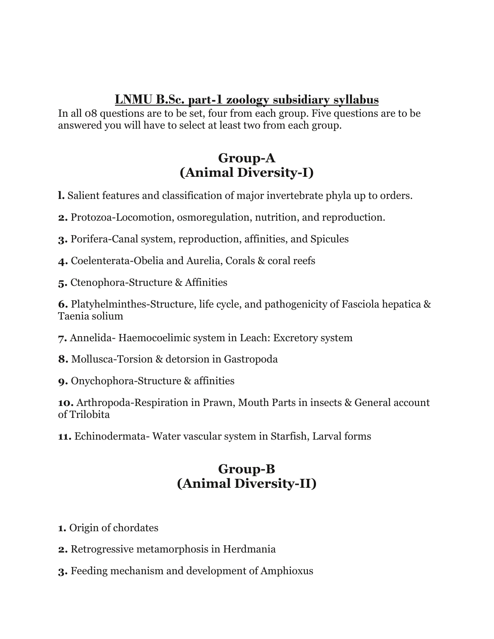#### **LNMU B.Sc. part-1 zoology subsidiary syllabus**

In all 08 questions are to be set, four from each group. Five questions are to be answered you will have to select at least two from each group.

#### **Group-A (Animal Diversity-I)**

- **l.** Salient features and classification of major invertebrate phyla up to orders.
- **2.** Protozoa-Locomotion, osmoregulation, nutrition, and reproduction.
- **3.** Porifera-Canal system, reproduction, affinities, and Spicules
- **4.** Coelenterata-Obelia and Aurelia, Corals & coral reefs
- **5.** Ctenophora-Structure & Affinities

**6.** Platyhelminthes-Structure, life cycle, and pathogenicity of Fasciola hepatica & Taenia solium

- **7.** Annelida- Haemocoelimic system in Leach: Excretory system
- **8.** Mollusca-Torsion & detorsion in Gastropoda
- **9.** Onychophora-Structure & affinities

**10.** Arthropoda-Respiration in Prawn, Mouth Parts in insects & General account of Trilobita

**11.** Echinodermata- Water vascular system in Starfish, Larval forms

# **Group-B (Animal Diversity-II)**

- **1.** Origin of chordates
- **2.** Retrogressive metamorphosis in Herdmania
- **3.** Feeding mechanism and development of Amphioxus